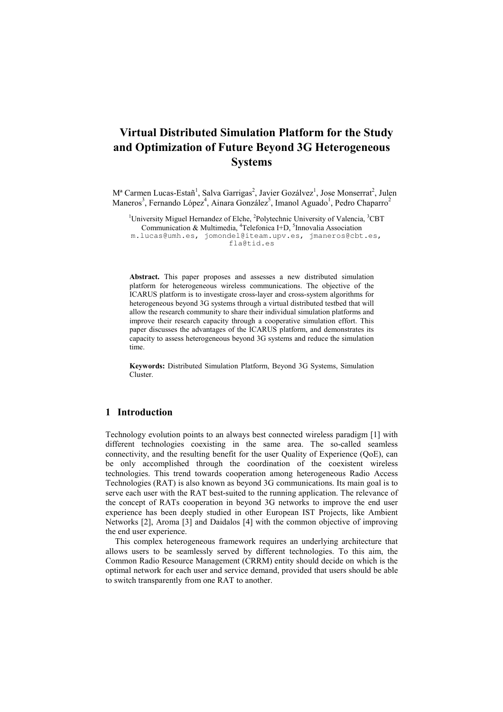# Virtual Distributed Simulation Platform for the Study and Optimization of Future Beyond 3G Heterogeneous **Systems**

M<sup>a</sup> Carmen Lucas-Estañ<sup>1</sup>, Salva Garrigas<sup>2</sup>, Javier Gozálvez<sup>1</sup>, Jose Monserrat<sup>2</sup>, Julen Maneros<sup>3</sup>, Fernando López<sup>4</sup>, Ainara González<sup>5</sup>, Imanol Aguado<sup>1</sup>, Pedro Chaparro<sup>2</sup>

<sup>1</sup>University Miguel Hernandez of Elche, <sup>2</sup>Polytechnic University of Valencia, <sup>3</sup>CBT Communication & Multimedia, <sup>4</sup>Telefonica I+D, <sup>5</sup>Innovalia Association m.lucas@umh.es, jomondel@iteam.upv.es, jmaneros@cbt.es, fla@tid.es

Abstract. This paper proposes and assesses a new distributed simulation platform for heterogeneous wireless communications. The objective of the ICARUS platform is to investigate cross-layer and cross-system algorithms for heterogeneous beyond 3G systems through a virtual distributed testbed that will allow the research community to share their individual simulation platforms and improve their research capacity through a cooperative simulation effort. This paper discusses the advantages of the ICARUS platform, and demonstrates its capacity to assess heterogeneous beyond 3G systems and reduce the simulation time.

Keywords: Distributed Simulation Platform, Beyond 3G Systems, Simulation Cluster.

### 1 Introduction

Technology evolution points to an always best connected wireless paradigm [1] with different technologies coexisting in the same area. The so-called seamless connectivity, and the resulting benefit for the user Quality of Experience (QoE), can be only accomplished through the coordination of the coexistent wireless technologies. This trend towards cooperation among heterogeneous Radio Access Technologies (RAT) is also known as beyond 3G communications. Its main goal is to serve each user with the RAT best-suited to the running application. The relevance of the concept of RATs cooperation in beyond 3G networks to improve the end user experience has been deeply studied in other European IST Projects, like Ambient Networks [2], Aroma [3] and Daidalos [4] with the common objective of improving the end user experience.

This complex heterogeneous framework requires an underlying architecture that allows users to be seamlessly served by different technologies. To this aim, the Common Radio Resource Management (CRRM) entity should decide on which is the optimal network for each user and service demand, provided that users should be able to switch transparently from one RAT to another.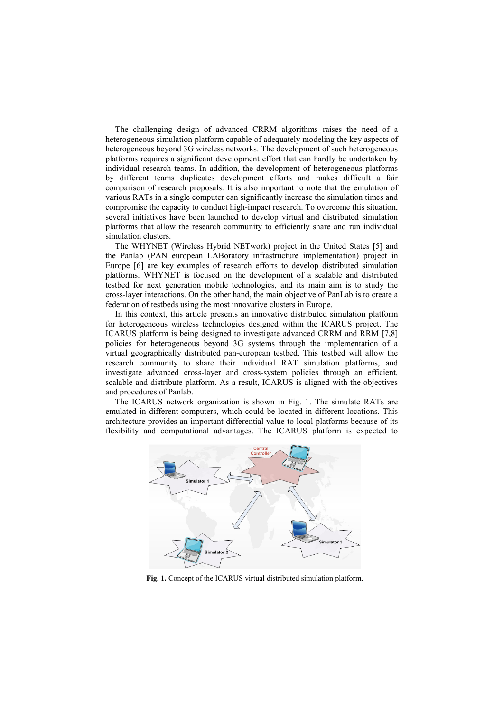The challenging design of advanced CRRM algorithms raises the need of a heterogeneous simulation platform capable of adequately modeling the key aspects of heterogeneous beyond 3G wireless networks. The development of such heterogeneous platforms requires a significant development effort that can hardly be undertaken by individual research teams. In addition, the development of heterogeneous platforms by different teams duplicates development efforts and makes difficult a fair comparison of research proposals. It is also important to note that the emulation of various RATs in a single computer can significantly increase the simulation times and compromise the capacity to conduct high-impact research. To overcome this situation, several initiatives have been launched to develop virtual and distributed simulation platforms that allow the research community to efficiently share and run individual simulation clusters.

The WHYNET (Wireless Hybrid NETwork) project in the United States [5] and the Panlab (PAN european LABoratory infrastructure implementation) project in Europe [6] are key examples of research efforts to develop distributed simulation platforms. WHYNET is focused on the development of a scalable and distributed testbed for next generation mobile technologies, and its main aim is to study the cross-layer interactions. On the other hand, the main objective of PanLab is to create a federation of testbeds using the most innovative clusters in Europe.

In this context, this article presents an innovative distributed simulation platform for heterogeneous wireless technologies designed within the ICARUS project. The ICARUS platform is being designed to investigate advanced CRRM and RRM [7,8] policies for heterogeneous beyond 3G systems through the implementation of a virtual geographically distributed pan-european testbed. This testbed will allow the research community to share their individual RAT simulation platforms, and investigate advanced cross-layer and cross-system policies through an efficient, scalable and distribute platform. As a result, ICARUS is aligned with the objectives and procedures of Panlab.

The ICARUS network organization is shown in Fig. 1. The simulate RATs are emulated in different computers, which could be located in different locations. This architecture provides an important differential value to local platforms because of its flexibility and computational advantages. The ICARUS platform is expected to



Fig. 1. Concept of the ICARUS virtual distributed simulation platform.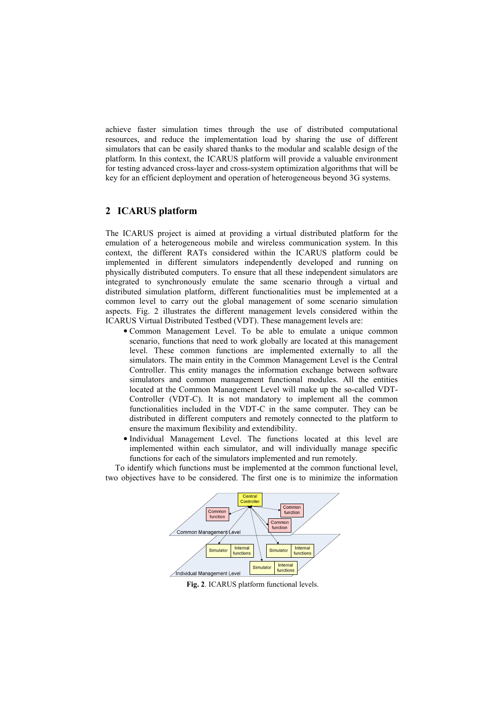achieve faster simulation times through the use of distributed computational resources, and reduce the implementation load by sharing the use of different simulators that can be easily shared thanks to the modular and scalable design of the platform. In this context, the ICARUS platform will provide a valuable environment for testing advanced cross-layer and cross-system optimization algorithms that will be key for an efficient deployment and operation of heterogeneous beyond 3G systems.

## 2 ICARUS platform

The ICARUS project is aimed at providing a virtual distributed platform for the emulation of a heterogeneous mobile and wireless communication system. In this context, the different RATs considered within the ICARUS platform could be implemented in different simulators independently developed and running on physically distributed computers. To ensure that all these independent simulators are integrated to synchronously emulate the same scenario through a virtual and distributed simulation platform, different functionalities must be implemented at a common level to carry out the global management of some scenario simulation aspects. Fig. 2 illustrates the different management levels considered within the ICARUS Virtual Distributed Testbed (VDT). These management levels are:

- Common Management Level. To be able to emulate a unique common scenario, functions that need to work globally are located at this management level. These common functions are implemented externally to all the simulators. The main entity in the Common Management Level is the Central Controller. This entity manages the information exchange between software simulators and common management functional modules. All the entities located at the Common Management Level will make up the so-called VDT-Controller (VDT-C). It is not mandatory to implement all the common functionalities included in the VDT-C in the same computer. They can be distributed in different computers and remotely connected to the platform to ensure the maximum flexibility and extendibility.
- Individual Management Level. The functions located at this level are implemented within each simulator, and will individually manage specific functions for each of the simulators implemented and run remotely.

To identify which functions must be implemented at the common functional level, two objectives have to be considered. The first one is to minimize the information



Fig. 2. ICARUS platform functional levels.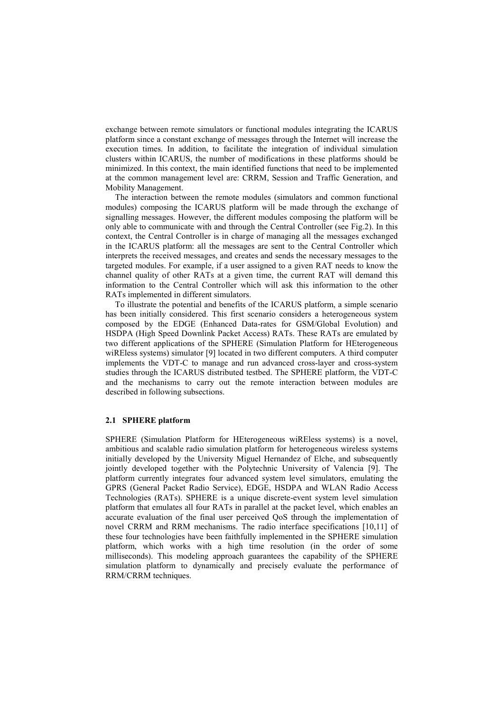exchange between remote simulators or functional modules integrating the ICARUS platform since a constant exchange of messages through the Internet will increase the execution times. In addition, to facilitate the integration of individual simulation clusters within ICARUS, the number of modifications in these platforms should be minimized. In this context, the main identified functions that need to be implemented at the common management level are: CRRM, Session and Traffic Generation, and Mobility Management.

The interaction between the remote modules (simulators and common functional modules) composing the ICARUS platform will be made through the exchange of signalling messages. However, the different modules composing the platform will be only able to communicate with and through the Central Controller (see Fig.2). In this context, the Central Controller is in charge of managing all the messages exchanged in the ICARUS platform: all the messages are sent to the Central Controller which interprets the received messages, and creates and sends the necessary messages to the targeted modules. For example, if a user assigned to a given RAT needs to know the channel quality of other RATs at a given time, the current RAT will demand this information to the Central Controller which will ask this information to the other RATs implemented in different simulators.

To illustrate the potential and benefits of the ICARUS platform, a simple scenario has been initially considered. This first scenario considers a heterogeneous system composed by the EDGE (Enhanced Data-rates for GSM/Global Evolution) and HSDPA (High Speed Downlink Packet Access) RATs. These RATs are emulated by two different applications of the SPHERE (Simulation Platform for HEterogeneous wiREless systems) simulator [9] located in two different computers. A third computer implements the VDT-C to manage and run advanced cross-layer and cross-system studies through the ICARUS distributed testbed. The SPHERE platform, the VDT-C and the mechanisms to carry out the remote interaction between modules are described in following subsections.

### 2.1 SPHERE platform

SPHERE (Simulation Platform for HEterogeneous wiREless systems) is a novel, ambitious and scalable radio simulation platform for heterogeneous wireless systems initially developed by the University Miguel Hernandez of Elche, and subsequently jointly developed together with the Polytechnic University of Valencia [9]. The platform currently integrates four advanced system level simulators, emulating the GPRS (General Packet Radio Service), EDGE, HSDPA and WLAN Radio Access Technologies (RATs). SPHERE is a unique discrete-event system level simulation platform that emulates all four RATs in parallel at the packet level, which enables an accurate evaluation of the final user perceived QoS through the implementation of novel CRRM and RRM mechanisms. The radio interface specifications [10,11] of these four technologies have been faithfully implemented in the SPHERE simulation platform, which works with a high time resolution (in the order of some milliseconds). This modeling approach guarantees the capability of the SPHERE simulation platform to dynamically and precisely evaluate the performance of RRM/CRRM techniques.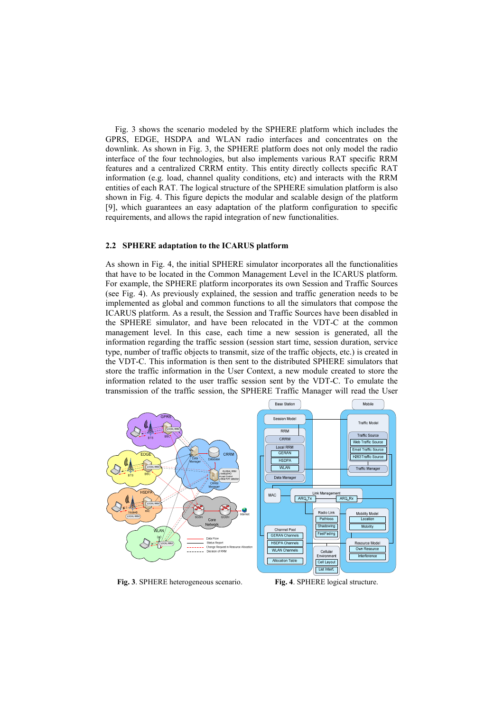Fig. 3 shows the scenario modeled by the SPHERE platform which includes the GPRS, EDGE, HSDPA and WLAN radio interfaces and concentrates on the downlink. As shown in Fig. 3, the SPHERE platform does not only model the radio interface of the four technologies, but also implements various RAT specific RRM features and a centralized CRRM entity. This entity directly collects specific RAT information (e.g. load, channel quality conditions, etc) and interacts with the RRM entities of each RAT. The logical structure of the SPHERE simulation platform is also shown in Fig. 4. This figure depicts the modular and scalable design of the platform [9], which guarantees an easy adaptation of the platform configuration to specific requirements, and allows the rapid integration of new functionalities.

### 2.2 SPHERE adaptation to the ICARUS platform

As shown in Fig. 4, the initial SPHERE simulator incorporates all the functionalities that have to be located in the Common Management Level in the ICARUS platform. For example, the SPHERE platform incorporates its own Session and Traffic Sources (see Fig. 4). As previously explained, the session and traffic generation needs to be implemented as global and common functions to all the simulators that compose the ICARUS platform. As a result, the Session and Traffic Sources have been disabled in the SPHERE simulator, and have been relocated in the VDT-C at the common management level. In this case, each time a new session is generated, all the information regarding the traffic session (session start time, session duration, service type, number of traffic objects to transmit, size of the traffic objects, etc.) is created in the VDT-C. This information is then sent to the distributed SPHERE simulators that store the traffic information in the User Context, a new module created to store the information related to the user traffic session sent by the VDT-C. To emulate the transmission of the traffic session, the SPHERE Traffic Manager will read the User



Fig. 3. SPHERE heterogeneous scenario. Fig. 4. SPHERE logical structure.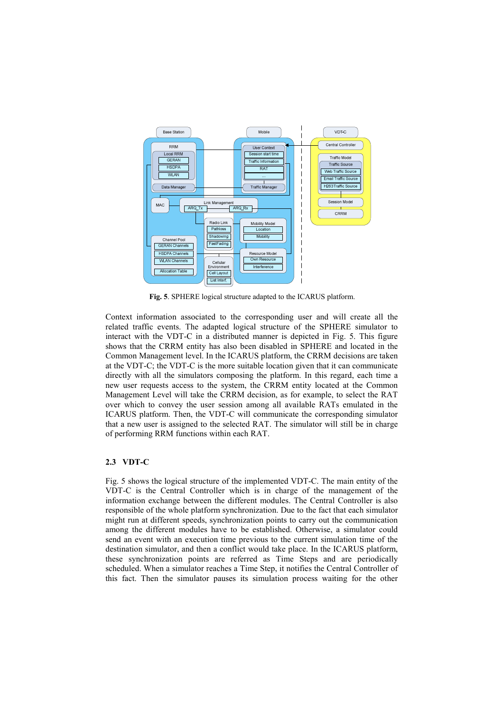

Fig. 5. SPHERE logical structure adapted to the ICARUS platform.

Context information associated to the corresponding user and will create all the related traffic events. The adapted logical structure of the SPHERE simulator to interact with the VDT-C in a distributed manner is depicted in Fig. 5. This figure shows that the CRRM entity has also been disabled in SPHERE and located in the Common Management level. In the ICARUS platform, the CRRM decisions are taken at the VDT-C; the VDT-C is the more suitable location given that it can communicate directly with all the simulators composing the platform. In this regard, each time a new user requests access to the system, the CRRM entity located at the Common Management Level will take the CRRM decision, as for example, to select the RAT over which to convey the user session among all available RATs emulated in the ICARUS platform. Then, the VDT-C will communicate the corresponding simulator that a new user is assigned to the selected RAT. The simulator will still be in charge of performing RRM functions within each RAT.

### 2.3 VDT-C

Fig. 5 shows the logical structure of the implemented VDT-C. The main entity of the VDT-C is the Central Controller which is in charge of the management of the information exchange between the different modules. The Central Controller is also responsible of the whole platform synchronization. Due to the fact that each simulator might run at different speeds, synchronization points to carry out the communication among the different modules have to be established. Otherwise, a simulator could send an event with an execution time previous to the current simulation time of the destination simulator, and then a conflict would take place. In the ICARUS platform, these synchronization points are referred as Time Steps and are periodically scheduled. When a simulator reaches a Time Step, it notifies the Central Controller of this fact. Then the simulator pauses its simulation process waiting for the other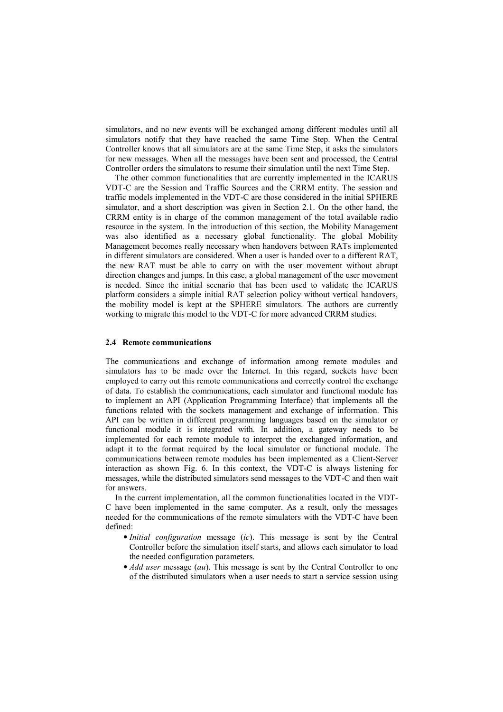simulators, and no new events will be exchanged among different modules until all simulators notify that they have reached the same Time Step. When the Central Controller knows that all simulators are at the same Time Step, it asks the simulators for new messages. When all the messages have been sent and processed, the Central Controller orders the simulators to resume their simulation until the next Time Step.

 The other common functionalities that are currently implemented in the ICARUS VDT-C are the Session and Traffic Sources and the CRRM entity. The session and traffic models implemented in the VDT-C are those considered in the initial SPHERE simulator, and a short description was given in Section 2.1. On the other hand, the CRRM entity is in charge of the common management of the total available radio resource in the system. In the introduction of this section, the Mobility Management was also identified as a necessary global functionality. The global Mobility Management becomes really necessary when handovers between RATs implemented in different simulators are considered. When a user is handed over to a different RAT, the new RAT must be able to carry on with the user movement without abrupt direction changes and jumps. In this case, a global management of the user movement is needed. Since the initial scenario that has been used to validate the ICARUS platform considers a simple initial RAT selection policy without vertical handovers, the mobility model is kept at the SPHERE simulators. The authors are currently working to migrate this model to the VDT-C for more advanced CRRM studies.

#### 2.4 Remote communications

The communications and exchange of information among remote modules and simulators has to be made over the Internet. In this regard, sockets have been employed to carry out this remote communications and correctly control the exchange of data. To establish the communications, each simulator and functional module has to implement an API (Application Programming Interface) that implements all the functions related with the sockets management and exchange of information. This API can be written in different programming languages based on the simulator or functional module it is integrated with. In addition, a gateway needs to be implemented for each remote module to interpret the exchanged information, and adapt it to the format required by the local simulator or functional module. The communications between remote modules has been implemented as a Client-Server interaction as shown Fig. 6. In this context, the VDT-C is always listening for messages, while the distributed simulators send messages to the VDT-C and then wait for answers.

In the current implementation, all the common functionalities located in the VDT-C have been implemented in the same computer. As a result, only the messages needed for the communications of the remote simulators with the VDT-C have been defined:

- $\bullet$  Initial configuration message (ic). This message is sent by the Central Controller before the simulation itself starts, and allows each simulator to load the needed configuration parameters.
- Add user message  $(au)$ . This message is sent by the Central Controller to one of the distributed simulators when a user needs to start a service session using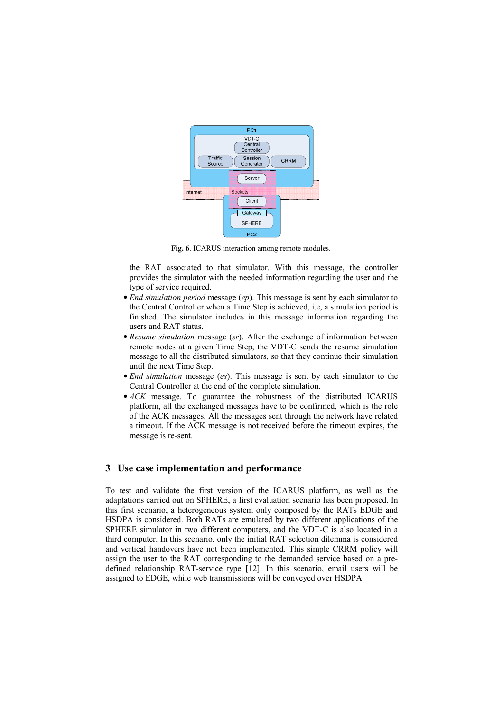

Fig. 6. ICARUS interaction among remote modules.

the RAT associated to that simulator. With this message, the controller provides the simulator with the needed information regarding the user and the type of service required.

- End simulation period message (ep). This message is sent by each simulator to the Central Controller when a Time Step is achieved, i.e, a simulation period is finished. The simulator includes in this message information regarding the users and RAT status.
- Resume simulation message (sr). After the exchange of information between remote nodes at a given Time Step, the VDT-C sends the resume simulation message to all the distributed simulators, so that they continue their simulation until the next Time Step.
- End simulation message (es). This message is sent by each simulator to the Central Controller at the end of the complete simulation.
- ACK message. To guarantee the robustness of the distributed ICARUS platform, all the exchanged messages have to be confirmed, which is the role of the ACK messages. All the messages sent through the network have related a timeout. If the ACK message is not received before the timeout expires, the message is re-sent.

# 3 Use case implementation and performance

To test and validate the first version of the ICARUS platform, as well as the adaptations carried out on SPHERE, a first evaluation scenario has been proposed. In this first scenario, a heterogeneous system only composed by the RATs EDGE and HSDPA is considered. Both RATs are emulated by two different applications of the SPHERE simulator in two different computers, and the VDT-C is also located in a third computer. In this scenario, only the initial RAT selection dilemma is considered and vertical handovers have not been implemented. This simple CRRM policy will assign the user to the RAT corresponding to the demanded service based on a predefined relationship RAT-service type [12]. In this scenario, email users will be assigned to EDGE, while web transmissions will be conveyed over HSDPA.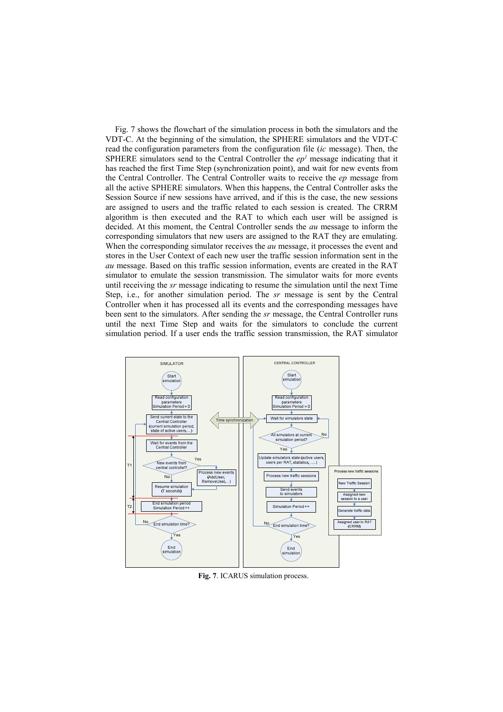Fig. 7 shows the flowchart of the simulation process in both the simulators and the VDT-C. At the beginning of the simulation, the SPHERE simulators and the VDT-C read the configuration parameters from the configuration file (ic message). Then, the SPHERE simulators send to the Central Controller the  $ep<sup>1</sup>$  message indicating that it has reached the first Time Step (synchronization point), and wait for new events from the Central Controller. The Central Controller waits to receive the ep message from all the active SPHERE simulators. When this happens, the Central Controller asks the Session Source if new sessions have arrived, and if this is the case, the new sessions are assigned to users and the traffic related to each session is created. The CRRM algorithm is then executed and the RAT to which each user will be assigned is decided. At this moment, the Central Controller sends the *au* message to inform the corresponding simulators that new users are assigned to the RAT they are emulating. When the corresponding simulator receives the *au* message, it processes the event and stores in the User Context of each new user the traffic session information sent in the au message. Based on this traffic session information, events are created in the RAT simulator to emulate the session transmission. The simulator waits for more events until receiving the *sr* message indicating to resume the simulation until the next Time Step, i.e., for another simulation period. The sr message is sent by the Central Controller when it has processed all its events and the corresponding messages have been sent to the simulators. After sending the sr message, the Central Controller runs until the next Time Step and waits for the simulators to conclude the current simulation period. If a user ends the traffic session transmission, the RAT simulator



 All the messages sent over the network are acknowledged through an ACK message. Fig. 7. ICARUS simulation process.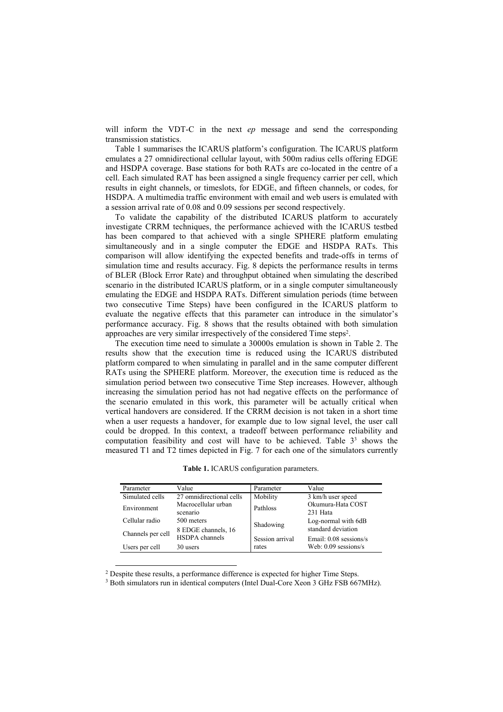will inform the VDT-C in the next ep message and send the corresponding transmission statistics.

Table 1 summarises the ICARUS platform's configuration. The ICARUS platform emulates a 27 omnidirectional cellular layout, with 500m radius cells offering EDGE and HSDPA coverage. Base stations for both RATs are co-located in the centre of a cell. Each simulated RAT has been assigned a single frequency carrier per cell, which results in eight channels, or timeslots, for EDGE, and fifteen channels, or codes, for HSDPA. A multimedia traffic environment with email and web users is emulated with a session arrival rate of 0.08 and 0.09 sessions per second respectively.

To validate the capability of the distributed ICARUS platform to accurately investigate CRRM techniques, the performance achieved with the ICARUS testbed has been compared to that achieved with a single SPHERE platform emulating simultaneously and in a single computer the EDGE and HSDPA RATs. This comparison will allow identifying the expected benefits and trade-offs in terms of simulation time and results accuracy. Fig. 8 depicts the performance results in terms of BLER (Block Error Rate) and throughput obtained when simulating the described scenario in the distributed ICARUS platform, or in a single computer simultaneously emulating the EDGE and HSDPA RATs. Different simulation periods (time between two consecutive Time Steps) have been configured in the ICARUS platform to evaluate the negative effects that this parameter can introduce in the simulator's performance accuracy. Fig. 8 shows that the results obtained with both simulation approaches are very similar irrespectively of the considered Time steps<sup>2</sup>.

The execution time need to simulate a 30000s emulation is shown in Table 2. The results show that the execution time is reduced using the ICARUS distributed platform compared to when simulating in parallel and in the same computer different RATs using the SPHERE platform. Moreover, the execution time is reduced as the simulation period between two consecutive Time Step increases. However, although increasing the simulation period has not had negative effects on the performance of the scenario emulated in this work, this parameter will be actually critical when vertical handovers are considered. If the CRRM decision is not taken in a short time when a user requests a handover, for example due to low signal level, the user call could be dropped. In this context, a tradeoff between performance reliability and computation feasibility and cost will have to be achieved. Table  $3<sup>3</sup>$  shows the measured T1 and T2 times depicted in Fig. 7 for each one of the simulators currently

| <b>Table 1.</b> ICARUS configuration parameters |  |  |
|-------------------------------------------------|--|--|
|-------------------------------------------------|--|--|

| Parameter         | Value                    | Parameter       | Value                  |  |
|-------------------|--------------------------|-----------------|------------------------|--|
| Simulated cells   | 27 omnidirectional cells | Mobility        | 3 km/h user speed      |  |
| Environment       | Macrocellular urban      | Pathloss        | Okumura-Hata COST      |  |
|                   | scenario                 |                 | 231 Hata               |  |
| Cellular radio    | 500 meters               | Shadowing       | Log-normal with 6dB    |  |
| Channels per cell | 8 EDGE channels, 16      |                 | standard deviation     |  |
|                   | HSDPA channels           | Session arrival | Email: 0.08 sessions/s |  |
| Users per cell    | 30 users                 | rates           | Web: 0.09 sessions/s   |  |

<sup>&</sup>lt;sup>2</sup> Despite these results, a performance difference is expected for higher Time Steps.

 $\overline{a}$ 

<sup>&</sup>lt;sup>3</sup> Both simulators run in identical computers (Intel Dual-Core Xeon 3 GHz FSB 667MHz).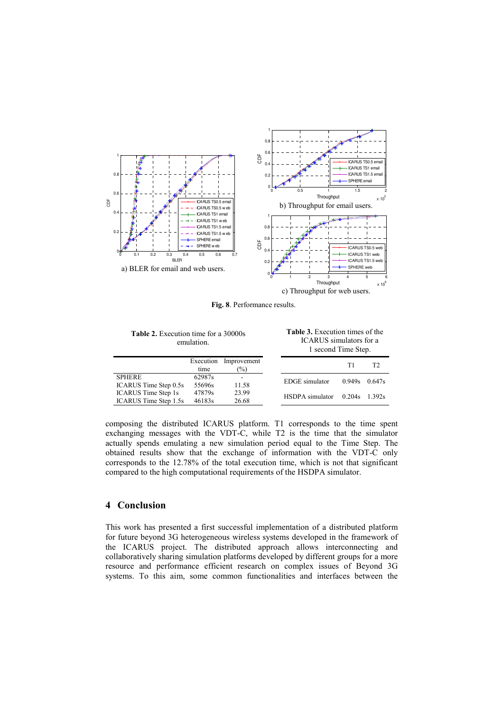

Fig. 8. Performance results.

Table 3. Execution times of the

Table 2. Execution time for a 30000s emulation.

| emulation.                   |                   | ICARUS simulators for a<br>1 second Time Step. |                       |        |        |
|------------------------------|-------------------|------------------------------------------------|-----------------------|--------|--------|
|                              | Execution<br>time | Improvement<br>$\binom{0}{0}$                  |                       | Τ1     | Т7     |
| <b>SPHERE</b>                | 62987s            |                                                | <b>EDGE</b> simulator | 0.949s | 0.647s |
| ICARUS Time Step 0.5s        | 55696s            | 11.58                                          |                       |        |        |
| <b>ICARUS</b> Time Step 1s   | 47879s            | 23.99                                          | HSDPA simulator       | 0.204s | 1.392s |
| <b>ICARUS</b> Time Step 1.5s | 46183s            | 26.68                                          |                       |        |        |

composing the distributed ICARUS platform. T1 corresponds to the time spent exchanging messages with the VDT-C, while T2 is the time that the simulator actually spends emulating a new simulation period equal to the Time Step. The obtained results show that the exchange of information with the VDT-C only corresponds to the 12.78% of the total execution time, which is not that significant compared to the high computational requirements of the HSDPA simulator.

# 4 Conclusion

This work has presented a first successful implementation of a distributed platform for future beyond 3G heterogeneous wireless systems developed in the framework of the ICARUS project. The distributed approach allows interconnecting and collaboratively sharing simulation platforms developed by different groups for a more resource and performance efficient research on complex issues of Beyond 3G systems. To this aim, some common functionalities and interfaces between the